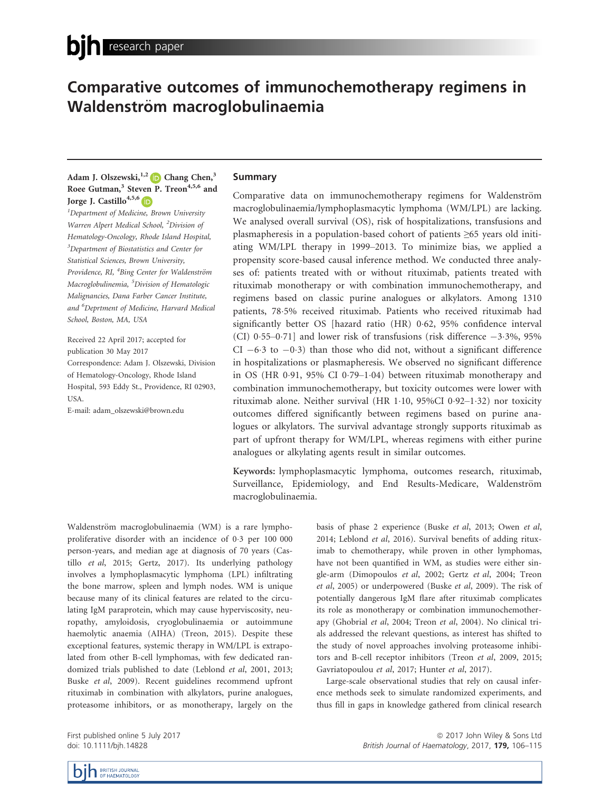# Comparative outcomes of immunochemotherapy regimens in Waldenström macroglobulinaemia

# Adam J. Olszewski, $^{1,2}$  D Chang Chen,<sup>3</sup> Roee Gutman,<sup>3</sup> Steven P. Treon<sup>4,5,6</sup> and Jorge J. Castillo<sup>4,5,[6](http://orcid.org/0000-0001-9490-7532)</sup>

<sup>1</sup>Department of Medicine, Brown University Warren Alpert Medical School, <sup>2</sup>Division of Hematology-Oncology, Rhode Island Hospital, <sup>3</sup>Department of Biostatistics and Center for Statistical Sciences, Brown University, Providence, RI, <sup>4</sup>Bing Center for Waldenström Macroglobulinemia, <sup>5</sup>Division of Hematologic Malignancies, Dana Farber Cancer Institute, and <sup>6</sup>Deprtment of Medicine, Harvard Medical School, Boston, MA, USA

Received 22 April 2017; accepted for publication 30 May 2017 Correspondence: Adam J. Olszewski, Division of Hematology-Oncology, Rhode Island Hospital, 593 Eddy St., Providence, RI 02903, USA.

E-mail: adam\_olszewski@brown.edu

# Summary

Comparative data on immunochemotherapy regimens for Waldenström macroglobulinaemia/lymphoplasmacytic lymphoma (WM/LPL) are lacking. We analysed overall survival (OS), risk of hospitalizations, transfusions and plasmapheresis in a population-based cohort of patients ≥65 years old initiating WM/LPL therapy in 1999–2013. To minimize bias, we applied a propensity score-based causal inference method. We conducted three analyses of: patients treated with or without rituximab, patients treated with rituximab monotherapy or with combination immunochemotherapy, and regimens based on classic purine analogues or alkylators. Among 1310 patients, 785% received rituximab. Patients who received rituximab had significantly better OS [hazard ratio (HR) 0.62, 95% confidence interval (CI)  $0.55-0.71$  and lower risk of transfusions (risk difference  $-3.3\%$ , 95% CI  $-6.3$  to  $-0.3$ ) than those who did not, without a significant difference in hospitalizations or plasmapheresis. We observed no significant difference in OS (HR 091, 95% CI 079–104) between rituximab monotherapy and combination immunochemotherapy, but toxicity outcomes were lower with rituximab alone. Neither survival (HR 1.10, 95%CI 0.92-1.32) nor toxicity outcomes differed significantly between regimens based on purine analogues or alkylators. The survival advantage strongly supports rituximab as part of upfront therapy for WM/LPL, whereas regimens with either purine analogues or alkylating agents result in similar outcomes.

Keywords: lymphoplasmacytic lymphoma, outcomes research, rituximab, Surveillance, Epidemiology, and End Results-Medicare, Waldenström macroglobulinaemia.

Waldenström macroglobulinaemia (WM) is a rare lymphoproliferative disorder with an incidence of 03 per 100 000 person-years, and median age at diagnosis of 70 years (Castillo et al, 2015; Gertz, 2017). Its underlying pathology involves a lymphoplasmacytic lymphoma (LPL) infiltrating the bone marrow, spleen and lymph nodes. WM is unique because many of its clinical features are related to the circulating IgM paraprotein, which may cause hyperviscosity, neuropathy, amyloidosis, cryoglobulinaemia or autoimmune haemolytic anaemia (AIHA) (Treon, 2015). Despite these exceptional features, systemic therapy in WM/LPL is extrapolated from other B-cell lymphomas, with few dedicated randomized trials published to date (Leblond et al, 2001, 2013; Buske et al, 2009). Recent guidelines recommend upfront rituximab in combination with alkylators, purine analogues, proteasome inhibitors, or as monotherapy, largely on the

basis of phase 2 experience (Buske et al, 2013; Owen et al, 2014; Leblond et al, 2016). Survival benefits of adding rituximab to chemotherapy, while proven in other lymphomas, have not been quantified in WM, as studies were either single-arm (Dimopoulos et al, 2002; Gertz et al, 2004; Treon et al, 2005) or underpowered (Buske et al, 2009). The risk of potentially dangerous IgM flare after rituximab complicates its role as monotherapy or combination immunochemotherapy (Ghobrial et al, 2004; Treon et al, 2004). No clinical trials addressed the relevant questions, as interest has shifted to the study of novel approaches involving proteasome inhibitors and B-cell receptor inhibitors (Treon et al, 2009, 2015; Gavriatopoulou et al, 2017; Hunter et al, 2017).

Large-scale observational studies that rely on causal inference methods seek to simulate randomized experiments, and thus fill in gaps in knowledge gathered from clinical research

First published online 5 July 2017 doi: 10.1111/bjh.14828

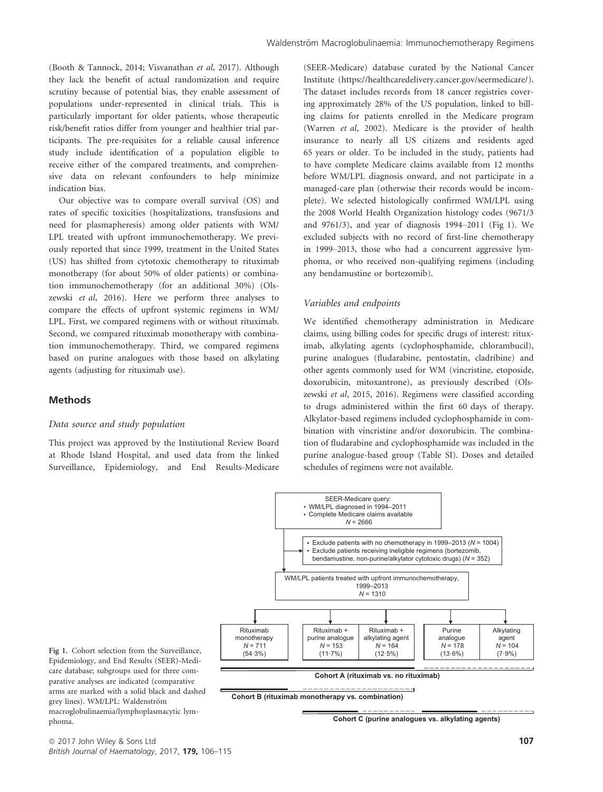(Booth & Tannock, 2014; Visvanathan et al, 2017). Although they lack the benefit of actual randomization and require scrutiny because of potential bias, they enable assessment of populations under-represented in clinical trials. This is particularly important for older patients, whose therapeutic risk/benefit ratios differ from younger and healthier trial participants. The pre-requisites for a reliable causal inference study include identification of a population eligible to receive either of the compared treatments, and comprehensive data on relevant confounders to help minimize indication bias.

Our objective was to compare overall survival (OS) and rates of specific toxicities (hospitalizations, transfusions and need for plasmapheresis) among older patients with WM/ LPL treated with upfront immunochemotherapy. We previously reported that since 1999, treatment in the United States (US) has shifted from cytotoxic chemotherapy to rituximab monotherapy (for about 50% of older patients) or combination immunochemotherapy (for an additional 30%) (Olszewski et al, 2016). Here we perform three analyses to compare the effects of upfront systemic regimens in WM/ LPL. First, we compared regimens with or without rituximab. Second, we compared rituximab monotherapy with combination immunochemotherapy. Third, we compared regimens based on purine analogues with those based on alkylating agents (adjusting for rituximab use).

# Methods

#### Data source and study population

This project was approved by the Institutional Review Board at Rhode Island Hospital, and used data from the linked Surveillance, Epidemiology, and End Results-Medicare (SEER-Medicare) database curated by the National Cancer Institute [\(https://healthcaredelivery.cancer.gov/seermedicare/\)](https://healthcaredelivery.cancer.gov/seermedicare/). The dataset includes records from 18 cancer registries covering approximately 28% of the US population, linked to billing claims for patients enrolled in the Medicare program (Warren et al, 2002). Medicare is the provider of health insurance to nearly all US citizens and residents aged 65 years or older. To be included in the study, patients had to have complete Medicare claims available from 12 months before WM/LPL diagnosis onward, and not participate in a managed-care plan (otherwise their records would be incomplete). We selected histologically confirmed WM/LPL using the 2008 World Health Organization histology codes (9671/3 and 9761/3), and year of diagnosis 1994–2011 (Fig 1). We excluded subjects with no record of first-line chemotherapy in 1999–2013, those who had a concurrent aggressive lymphoma, or who received non-qualifying regimens (including any bendamustine or bortezomib).

#### Variables and endpoints

We identified chemotherapy administration in Medicare claims, using billing codes for specific drugs of interest: rituximab, alkylating agents (cyclophosphamide, chlorambucil), purine analogues (fludarabine, pentostatin, cladribine) and other agents commonly used for WM (vincristine, etoposide, doxorubicin, mitoxantrone), as previously described (Olszewski et al, 2015, 2016). Regimens were classified according to drugs administered within the first 60 days of therapy. Alkylator-based regimens included cyclophosphamide in combination with vincristine and/or doxorubicin. The combination of fludarabine and cyclophosphamide was included in the purine analogue-based group (Table SI). Doses and detailed schedules of regimens were not available.



**Cohort B (rituximab monotherapy vs. combination)**

**Cohort C (purine analogues vs. alkylating agents)**

Fig 1. Cohort selection from the Surveillance, Epidemiology, and End Results (SEER)-Medicare database; subgroups used for three comparative analyses are indicated (comparative arms are marked with a solid black and dashed grey lines). WM/LPL: Waldenström macroglobulinaemia/lymphoplasmacytic lymphoma.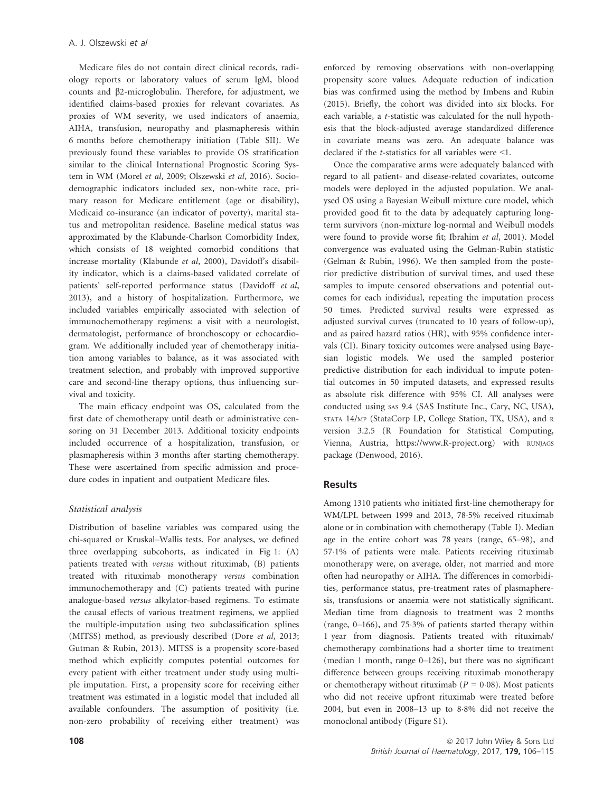Medicare files do not contain direct clinical records, radiology reports or laboratory values of serum IgM, blood counts and  $\beta$ 2-microglobulin. Therefore, for adjustment, we identified claims-based proxies for relevant covariates. As proxies of WM severity, we used indicators of anaemia, AIHA, transfusion, neuropathy and plasmapheresis within 6 months before chemotherapy initiation (Table SII). We previously found these variables to provide OS stratification similar to the clinical International Prognostic Scoring System in WM (Morel et al, 2009; Olszewski et al, 2016). Sociodemographic indicators included sex, non-white race, primary reason for Medicare entitlement (age or disability), Medicaid co-insurance (an indicator of poverty), marital status and metropolitan residence. Baseline medical status was approximated by the Klabunde-Charlson Comorbidity Index, which consists of 18 weighted comorbid conditions that increase mortality (Klabunde et al, 2000), Davidoff's disability indicator, which is a claims-based validated correlate of patients' self-reported performance status (Davidoff et al, 2013), and a history of hospitalization. Furthermore, we included variables empirically associated with selection of immunochemotherapy regimens: a visit with a neurologist, dermatologist, performance of bronchoscopy or echocardiogram. We additionally included year of chemotherapy initiation among variables to balance, as it was associated with treatment selection, and probably with improved supportive care and second-line therapy options, thus influencing survival and toxicity.

The main efficacy endpoint was OS, calculated from the first date of chemotherapy until death or administrative censoring on 31 December 2013. Additional toxicity endpoints included occurrence of a hospitalization, transfusion, or plasmapheresis within 3 months after starting chemotherapy. These were ascertained from specific admission and procedure codes in inpatient and outpatient Medicare files.

#### Statistical analysis

Distribution of baseline variables was compared using the chi-squared or Kruskal–Wallis tests. For analyses, we defined three overlapping subcohorts, as indicated in Fig 1: (A) patients treated with versus without rituximab, (B) patients treated with rituximab monotherapy versus combination immunochemotherapy and (C) patients treated with purine analogue-based versus alkylator-based regimens. To estimate the causal effects of various treatment regimens, we applied the multiple-imputation using two subclassification splines (MITSS) method, as previously described (Dore et al, 2013; Gutman & Rubin, 2013). MITSS is a propensity score-based method which explicitly computes potential outcomes for every patient with either treatment under study using multiple imputation. First, a propensity score for receiving either treatment was estimated in a logistic model that included all available confounders. The assumption of positivity (i.e. non-zero probability of receiving either treatment) was enforced by removing observations with non-overlapping propensity score values. Adequate reduction of indication bias was confirmed using the method by Imbens and Rubin (2015). Briefly, the cohort was divided into six blocks. For each variable, a t-statistic was calculated for the null hypothesis that the block-adjusted average standardized difference in covariate means was zero. An adequate balance was declared if the t-statistics for all variables were <1.

Once the comparative arms were adequately balanced with regard to all patient- and disease-related covariates, outcome models were deployed in the adjusted population. We analysed OS using a Bayesian Weibull mixture cure model, which provided good fit to the data by adequately capturing longterm survivors (non-mixture log-normal and Weibull models were found to provide worse fit; Ibrahim et al, 2001). Model convergence was evaluated using the Gelman-Rubin statistic (Gelman & Rubin, 1996). We then sampled from the posterior predictive distribution of survival times, and used these samples to impute censored observations and potential outcomes for each individual, repeating the imputation process 50 times. Predicted survival results were expressed as adjusted survival curves (truncated to 10 years of follow-up), and as paired hazard ratios (HR), with 95% confidence intervals (CI). Binary toxicity outcomes were analysed using Bayesian logistic models. We used the sampled posterior predictive distribution for each individual to impute potential outcomes in 50 imputed datasets, and expressed results as absolute risk difference with 95% CI. All analyses were conducted using SAS 9.4 (SAS Institute Inc., Cary, NC, USA), STATA 14/MP (StataCorp LP, College Station, TX, USA), and <sup>R</sup> version 3.2.5 (R Foundation for Statistical Computing, Vienna, Austria, [https://www.R-project.org\)](https://www.R-project.org) with RUNJAGS package (Denwood, 2016).

# **Results**

Among 1310 patients who initiated first-line chemotherapy for WM/LPL between 1999 and 2013, 785% received rituximab alone or in combination with chemotherapy (Table I). Median age in the entire cohort was 78 years (range, 65–98), and 571% of patients were male. Patients receiving rituximab monotherapy were, on average, older, not married and more often had neuropathy or AIHA. The differences in comorbidities, performance status, pre-treatment rates of plasmapheresis, transfusions or anaemia were not statistically significant. Median time from diagnosis to treatment was 2 months (range, 0–166), and 753% of patients started therapy within 1 year from diagnosis. Patients treated with rituximab/ chemotherapy combinations had a shorter time to treatment (median 1 month, range 0–126), but there was no significant difference between groups receiving rituximab monotherapy or chemotherapy without rituximab ( $P = 0.08$ ). Most patients who did not receive upfront rituximab were treated before 2004, but even in 2008–13 up to  $8.8\%$  did not receive the monoclonal antibody (Figure S1).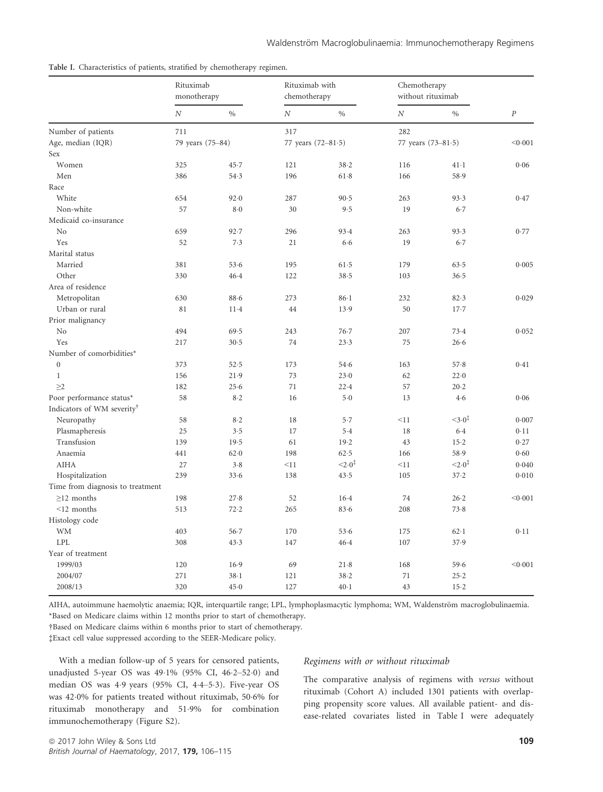|  | Table I. Characteristics of patients, stratified by chemotherapy regimen. |  |  |  |  |
|--|---------------------------------------------------------------------------|--|--|--|--|
|--|---------------------------------------------------------------------------|--|--|--|--|

|                                        | Rituximab<br>monotherapy |          | Rituximab with<br>chemotherapy |                    | Chemotherapy<br>without rituximab |                    |          |
|----------------------------------------|--------------------------|----------|--------------------------------|--------------------|-----------------------------------|--------------------|----------|
|                                        | $\cal N$                 | $\%$     | $\cal N$                       | $\%$               | $_{N}$                            | $\%$               | $\cal P$ |
| Number of patients                     | 711                      |          | 317                            |                    | 282                               |                    |          |
| Age, median (IQR)                      | 79 years (75-84)         |          | 77 years (72-81.5)             |                    | 77 years (73-81-5)                |                    | < 0.001  |
| Sex                                    |                          |          |                                |                    |                                   |                    |          |
| Women                                  | 325                      | 45.7     | 121                            | $38 - 2$           | 116                               | $41-1$             | 0.06     |
| Men                                    | 386                      | 54.3     | 196                            | 61.8               | 166                               | 58.9               |          |
| Race                                   |                          |          |                                |                    |                                   |                    |          |
| White                                  | 654                      | 92.0     | 287                            | 90.5               | 263                               | 93.3               | 0.47     |
| Non-white                              | 57                       | $8-0$    | 30                             | 9.5                | 19                                | $6-7$              |          |
| Medicaid co-insurance                  |                          |          |                                |                    |                                   |                    |          |
| N <sub>o</sub>                         | 659                      | 92.7     | 296                            | 93.4               | 263                               | 93.3               | 0.77     |
| Yes                                    | 52                       | 7.3      | 21                             | 6.6                | 19                                | $6 - 7$            |          |
| Marital status                         |                          |          |                                |                    |                                   |                    |          |
| Married                                | 381                      | 53.6     | 195                            | 61.5               | 179                               | 63.5               | 0.005    |
| Other                                  | 330                      | 46.4     | 122                            | 38.5               | 103                               | 36.5               |          |
| Area of residence                      |                          |          |                                |                    |                                   |                    |          |
| Metropolitan                           | 630                      | 88.6     | 273                            | $86-1$             | 232                               | 82.3               | 0.029    |
| Urban or rural                         | 81                       | $11-4$   | 44                             | 13.9               | 50                                | $17 - 7$           |          |
| Prior malignancy                       |                          |          |                                |                    |                                   |                    |          |
| No                                     | 494                      | 69.5     | 243                            | 76.7               | 207                               | 73.4               | 0.052    |
| Yes                                    | 217                      | 30.5     | 74                             | 23.3               | 75                                | 26.6               |          |
| Number of comorbidities*               |                          |          |                                |                    |                                   |                    |          |
| $\boldsymbol{0}$                       | 373                      | 52.5     | 173                            | 54.6               | 163                               | 57.8               | 0.41     |
| $\mathbf{1}$                           | 156                      | 21.9     | 73                             | 23.0               | 62                                | 22.0               |          |
| $\geq$ 2                               | 182                      | 25.6     | 71                             | 22.4               | 57                                | $20 - 2$           |          |
| Poor performance status*               | 58                       | $8-2$    | 16                             | 5.0                | 13                                | 4.6                | 0.06     |
| Indicators of WM severity <sup>†</sup> |                          |          |                                |                    |                                   |                    |          |
| Neuropathy                             | 58                       | $8-2$    | 18                             | 5.7                | <11                               | $3.0^{1}$          | 0.007    |
| Plasmapheresis                         | 25                       | 3.5      | 17                             | 5.4                | 18                                | $6 - 4$            | 0.11     |
| Transfusion                            | 139                      | 19.5     | 61                             | 19.2               | 43                                | $15-2$             | 0.27     |
| Anaemia                                | 441                      | 62.0     | 198                            | 62.5               | 166                               | 58.9               | 0.60     |
| <b>AIHA</b>                            | 27                       | 3.8      | <11                            | $< 2.0^{\ddagger}$ | <11                               | $< 2.0^{\ddagger}$ | 0.040    |
| Hospitalization                        | 239                      | 33.6     | 138                            | 43.5               | 105                               | $37 - 2$           | 0.010    |
| Time from diagnosis to treatment       |                          |          |                                |                    |                                   |                    |          |
| $\geq$ 12 months                       | 198                      | 27.8     | 52                             | $16-4$             | 74                                | $26 - 2$           | < 0.001  |
| $<$ 12 months                          | 513                      | 72.2     | 265                            | 83.6               | 208                               | 73.8               |          |
| Histology code                         |                          |          |                                |                    |                                   |                    |          |
| <b>WM</b>                              | 403                      | $56 - 7$ | 170                            | 53.6               | 175                               | $62-1$             | 0.11     |
| <b>LPL</b>                             | 308                      | 43.3     | 147                            | $46 - 4$           | 107                               | 37.9               |          |
| Year of treatment                      |                          |          |                                |                    |                                   |                    |          |
| 1999/03                                | 120                      | 16.9     | 69                             | 21.8               | 168                               | 59.6               | < 0.001  |
| 2004/07                                | 271                      | $38 - 1$ | 121                            | 38.2               | 71                                | 25.2               |          |
| 2008/13                                | 320                      | 45.0     | 127                            | $40-1$             | 43                                | $15-2$             |          |

AIHA, autoimmune haemolytic anaemia; IQR, interquartile range; LPL, lymphoplasmacytic lymphoma; WM, Waldenström macroglobulinaemia. \*Based on Medicare claims within 12 months prior to start of chemotherapy.

†Based on Medicare claims within 6 months prior to start of chemotherapy.

‡Exact cell value suppressed according to the SEER-Medicare policy.

With a median follow-up of 5 years for censored patients, unadjusted 5-year OS was 49.1% (95% CI, 46.2-52.0) and median OS was 49 years (95% CI, 44–53). Five-year OS was 420% for patients treated without rituximab, 506% for rituximab monotherapy and 519% for combination immunochemotherapy (Figure S2).

#### Regimens with or without rituximab

The comparative analysis of regimens with versus without rituximab (Cohort A) included 1301 patients with overlapping propensity score values. All available patient- and disease-related covariates listed in Table I were adequately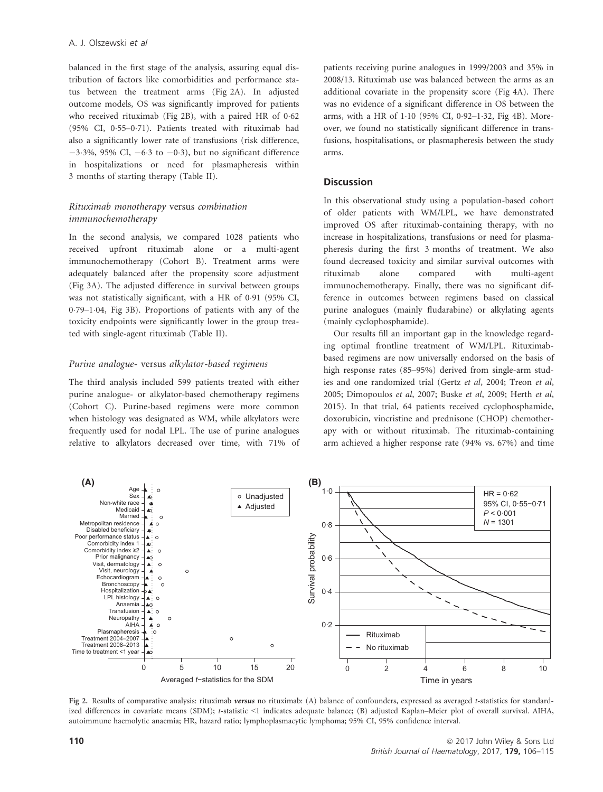balanced in the first stage of the analysis, assuring equal distribution of factors like comorbidities and performance status between the treatment arms (Fig 2A). In adjusted outcome models, OS was significantly improved for patients who received rituximab (Fig 2B), with a paired HR of  $0.62$ (95% CI, 0.55-0.71). Patients treated with rituximab had also a significantly lower rate of transfusions (risk difference,  $-3.3\%$ , 95% CI,  $-6.3$  to  $-0.3$ ), but no significant difference in hospitalizations or need for plasmapheresis within 3 months of starting therapy (Table II).

### Rituximab monotherapy versus combination immunochemotherapy

In the second analysis, we compared 1028 patients who received upfront rituximab alone or a multi-agent immunochemotherapy (Cohort B). Treatment arms were adequately balanced after the propensity score adjustment (Fig 3A). The adjusted difference in survival between groups was not statistically significant, with a HR of 0.91 (95% CI, 079–104, Fig 3B). Proportions of patients with any of the toxicity endpoints were significantly lower in the group treated with single-agent rituximab (Table II).

### Purine analogue- versus alkylator-based regimens

The third analysis included 599 patients treated with either purine analogue- or alkylator-based chemotherapy regimens (Cohort C). Purine-based regimens were more common when histology was designated as WM, while alkylators were frequently used for nodal LPL. The use of purine analogues relative to alkylators decreased over time, with 71% of patients receiving purine analogues in 1999/2003 and 35% in 2008/13. Rituximab use was balanced between the arms as an additional covariate in the propensity score (Fig 4A). There was no evidence of a significant difference in OS between the arms, with a HR of 1.10 (95% CI, 0.92-1.32, Fig 4B). Moreover, we found no statistically significant difference in transfusions, hospitalisations, or plasmapheresis between the study arms.

#### **Discussion**

In this observational study using a population-based cohort of older patients with WM/LPL, we have demonstrated improved OS after rituximab-containing therapy, with no increase in hospitalizations, transfusions or need for plasmapheresis during the first 3 months of treatment. We also found decreased toxicity and similar survival outcomes with rituximab alone compared with multi-agent immunochemotherapy. Finally, there was no significant difference in outcomes between regimens based on classical purine analogues (mainly fludarabine) or alkylating agents (mainly cyclophosphamide).

Our results fill an important gap in the knowledge regarding optimal frontline treatment of WM/LPL. Rituximabbased regimens are now universally endorsed on the basis of high response rates (85–95%) derived from single-arm studies and one randomized trial (Gertz et al, 2004; Treon et al, 2005; Dimopoulos et al, 2007; Buske et al, 2009; Herth et al, 2015). In that trial, 64 patients received cyclophosphamide, doxorubicin, vincristine and prednisone (CHOP) chemotherapy with or without rituximab. The rituximab-containing arm achieved a higher response rate (94% vs. 67%) and time



Fig 2. Results of comparative analysis: rituximab versus no rituximab: (A) balance of confounders, expressed as averaged t-statistics for standardized differences in covariate means (SDM); t-statistic <1 indicates adequate balance; (B) adjusted Kaplan–Meier plot of overall survival. AIHA, autoimmune haemolytic anaemia; HR, hazard ratio; lymphoplasmacytic lymphoma; 95% CI, 95% confidence interval.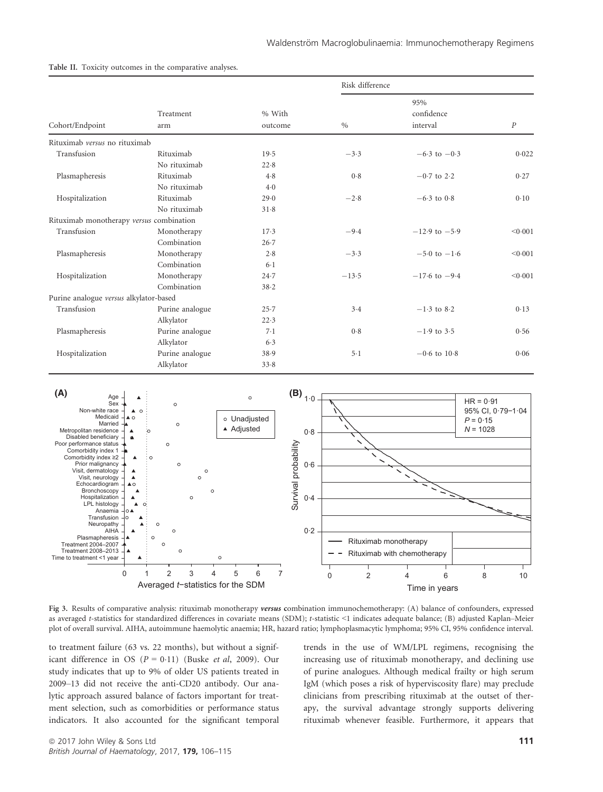|                                          |                  |                   | Risk difference |                               |                  |  |
|------------------------------------------|------------------|-------------------|-----------------|-------------------------------|------------------|--|
| Cohort/Endpoint                          | Treatment<br>arm | % With<br>outcome | $\frac{0}{0}$   | 95%<br>confidence<br>interval | $\boldsymbol{P}$ |  |
| Rituximab versus no rituximab            |                  |                   |                 |                               |                  |  |
| Transfusion                              | Rituximab        | 19.5              | $-3.3$          | $-6.3$ to $-0.3$              | 0.022            |  |
|                                          | No rituximab     | 22.8              |                 |                               |                  |  |
| Plasmapheresis                           | Rituximab        | 4.8               | 0.8             | $-0.7$ to 2.2                 | 0.27             |  |
|                                          | No rituximab     | $4-0$             |                 |                               |                  |  |
| Hospitalization                          | Rituximab        | 29.0              | $-2.8$          | $-6.3$ to 0.8                 | 0.10             |  |
|                                          | No rituximab     | 31.8              |                 |                               |                  |  |
| Rituximab monotherapy versus combination |                  |                   |                 |                               |                  |  |
| Transfusion                              | Monotherapy      | 17.3              | $-9.4$          | $-12.9$ to $-5.9$             | < 0.001          |  |
|                                          | Combination      | $26 - 7$          |                 |                               |                  |  |
| Plasmapheresis                           | Monotherapy      | 2.8               | $-3.3$          | $-5.0$ to $-1.6$              | < 0.001          |  |
|                                          | Combination      | $6-1$             |                 |                               |                  |  |
| Hospitalization                          | Monotherapy      | 24.7              | $-13.5$         | $-17.6$ to $-9.4$             | < 0.001          |  |
|                                          | Combination      | 38.2              |                 |                               |                  |  |
| Purine analogue versus alkylator-based   |                  |                   |                 |                               |                  |  |
| Transfusion                              | Purine analogue  | 25.7              | 3.4             | $-1.3$ to 8.2                 | 0.13             |  |
|                                          | Alkylator        | 22.3              |                 |                               |                  |  |
| Plasmapheresis                           | Purine analogue  | 7.1               | 0.8             | $-1.9$ to 3.5                 | 0.56             |  |
|                                          | Alkylator        | 6.3               |                 |                               |                  |  |
| Hospitalization                          | Purine analogue  | 38.9              | $5-1$           | $-0.6$ to $10.8$              | 0.06             |  |
|                                          | Alkylator        | 33.8              |                 |                               |                  |  |
|                                          |                  |                   |                 |                               |                  |  |





Fig 3. Results of comparative analysis: rituximab monotherapy versus combination immunochemotherapy: (A) balance of confounders, expressed as averaged t-statistics for standardized differences in covariate means (SDM); t-statistic <1 indicates adequate balance; (B) adjusted Kaplan–Meier plot of overall survival. AIHA, autoimmune haemolytic anaemia; HR, hazard ratio; lymphoplasmacytic lymphoma; 95% CI, 95% confidence interval.

to treatment failure (63 vs. 22 months), but without a significant difference in OS  $(P = 0.11)$  (Buske *et al*, 2009). Our study indicates that up to 9% of older US patients treated in 2009–13 did not receive the anti-CD20 antibody. Our analytic approach assured balance of factors important for treatment selection, such as comorbidities or performance status indicators. It also accounted for the significant temporal trends in the use of WM/LPL regimens, recognising the increasing use of rituximab monotherapy, and declining use of purine analogues. Although medical frailty or high serum IgM (which poses a risk of hyperviscosity flare) may preclude clinicians from prescribing rituximab at the outset of therapy, the survival advantage strongly supports delivering rituximab whenever feasible. Furthermore, it appears that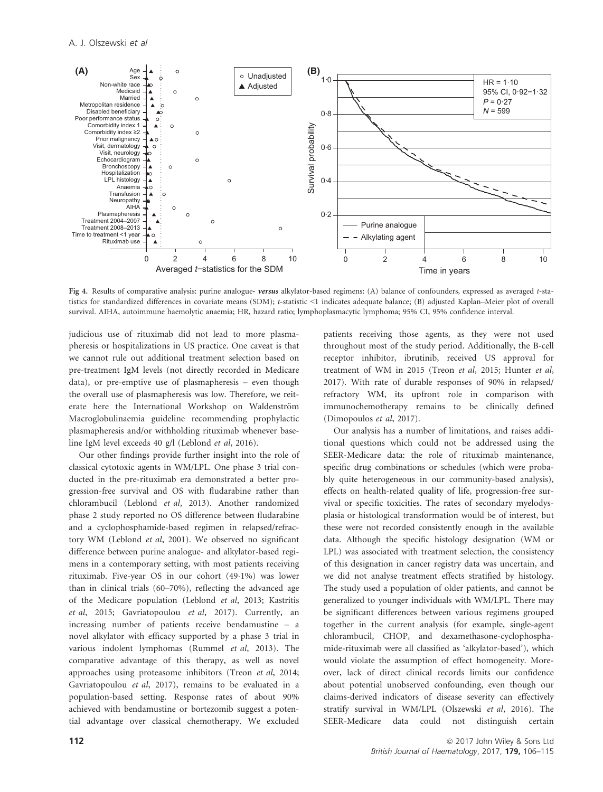

Fig 4. Results of comparative analysis: purine analogue- versus alkylator-based regimens: (A) balance of confounders, expressed as averaged t-statistics for standardized differences in covariate means (SDM); t-statistic <1 indicates adequate balance; (B) adjusted Kaplan–Meier plot of overall survival. AIHA, autoimmune haemolytic anaemia; HR, hazard ratio; lymphoplasmacytic lymphoma; 95% CI, 95% confidence interval.

judicious use of rituximab did not lead to more plasmapheresis or hospitalizations in US practice. One caveat is that we cannot rule out additional treatment selection based on pre-treatment IgM levels (not directly recorded in Medicare data), or pre-emptive use of plasmapheresis – even though the overall use of plasmapheresis was low. Therefore, we reiterate here the International Workshop on Waldenström Macroglobulinaemia guideline recommending prophylactic plasmapheresis and/or withholding rituximab whenever baseline IgM level exceeds 40 g/l (Leblond et al, 2016).

Our other findings provide further insight into the role of classical cytotoxic agents in WM/LPL. One phase 3 trial conducted in the pre-rituximab era demonstrated a better progression-free survival and OS with fludarabine rather than chlorambucil (Leblond et al, 2013). Another randomized phase 2 study reported no OS difference between fludarabine and a cyclophosphamide-based regimen in relapsed/refractory WM (Leblond et al, 2001). We observed no significant difference between purine analogue- and alkylator-based regimens in a contemporary setting, with most patients receiving rituximab. Five-year OS in our cohort (491%) was lower than in clinical trials (60–70%), reflecting the advanced age of the Medicare population (Leblond et al, 2013; Kastritis et al, 2015; Gavriatopoulou et al, 2017). Currently, an increasing number of patients receive bendamustine – a novel alkylator with efficacy supported by a phase 3 trial in various indolent lymphomas (Rummel et al, 2013). The comparative advantage of this therapy, as well as novel approaches using proteasome inhibitors (Treon et al, 2014; Gavriatopoulou et al, 2017), remains to be evaluated in a population-based setting. Response rates of about 90% achieved with bendamustine or bortezomib suggest a potential advantage over classical chemotherapy. We excluded

patients receiving those agents, as they were not used throughout most of the study period. Additionally, the B-cell receptor inhibitor, ibrutinib, received US approval for treatment of WM in 2015 (Treon et al, 2015; Hunter et al, 2017). With rate of durable responses of 90% in relapsed/ refractory WM, its upfront role in comparison with immunochemotherapy remains to be clinically defined (Dimopoulos et al, 2017).

Our analysis has a number of limitations, and raises additional questions which could not be addressed using the SEER-Medicare data: the role of rituximab maintenance, specific drug combinations or schedules (which were probably quite heterogeneous in our community-based analysis), effects on health-related quality of life, progression-free survival or specific toxicities. The rates of secondary myelodysplasia or histological transformation would be of interest, but these were not recorded consistently enough in the available data. Although the specific histology designation (WM or LPL) was associated with treatment selection, the consistency of this designation in cancer registry data was uncertain, and we did not analyse treatment effects stratified by histology. The study used a population of older patients, and cannot be generalized to younger individuals with WM/LPL. There may be significant differences between various regimens grouped together in the current analysis (for example, single-agent chlorambucil, CHOP, and dexamethasone-cyclophosphamide-rituximab were all classified as 'alkylator-based'), which would violate the assumption of effect homogeneity. Moreover, lack of direct clinical records limits our confidence about potential unobserved confounding, even though our claims-derived indicators of disease severity can effectively stratify survival in WM/LPL (Olszewski et al, 2016). The SEER-Medicare data could not distinguish certain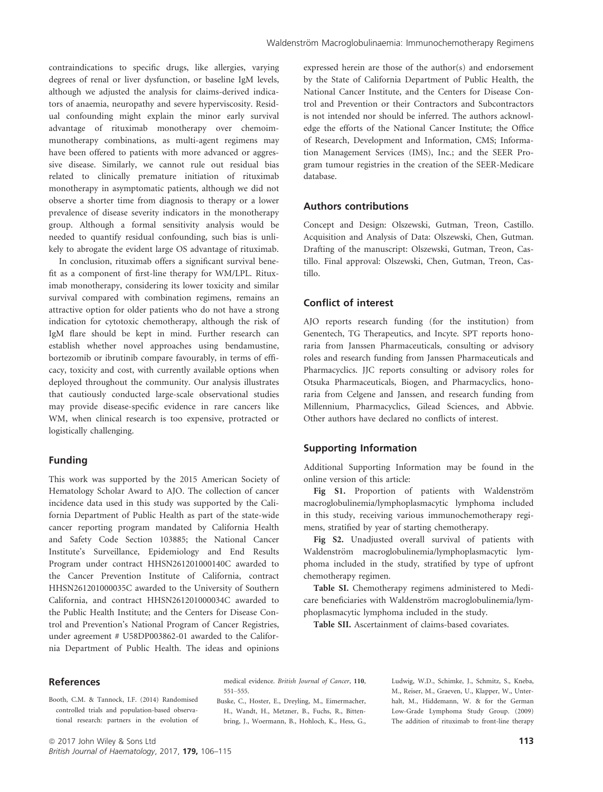contraindications to specific drugs, like allergies, varying degrees of renal or liver dysfunction, or baseline IgM levels, although we adjusted the analysis for claims-derived indicators of anaemia, neuropathy and severe hyperviscosity. Residual confounding might explain the minor early survival advantage of rituximab monotherapy over chemoimmunotherapy combinations, as multi-agent regimens may have been offered to patients with more advanced or aggressive disease. Similarly, we cannot rule out residual bias related to clinically premature initiation of rituximab monotherapy in asymptomatic patients, although we did not observe a shorter time from diagnosis to therapy or a lower prevalence of disease severity indicators in the monotherapy group. Although a formal sensitivity analysis would be needed to quantify residual confounding, such bias is unlikely to abrogate the evident large OS advantage of rituximab.

In conclusion, rituximab offers a significant survival benefit as a component of first-line therapy for WM/LPL. Rituximab monotherapy, considering its lower toxicity and similar survival compared with combination regimens, remains an attractive option for older patients who do not have a strong indication for cytotoxic chemotherapy, although the risk of IgM flare should be kept in mind. Further research can establish whether novel approaches using bendamustine, bortezomib or ibrutinib compare favourably, in terms of efficacy, toxicity and cost, with currently available options when deployed throughout the community. Our analysis illustrates that cautiously conducted large-scale observational studies may provide disease-specific evidence in rare cancers like WM, when clinical research is too expensive, protracted or logistically challenging.

# Funding

This work was supported by the 2015 American Society of Hematology Scholar Award to AJO. The collection of cancer incidence data used in this study was supported by the California Department of Public Health as part of the state-wide cancer reporting program mandated by California Health and Safety Code Section 103885; the National Cancer Institute's Surveillance, Epidemiology and End Results Program under contract HHSN261201000140C awarded to the Cancer Prevention Institute of California, contract HHSN261201000035C awarded to the University of Southern California, and contract HHSN261201000034C awarded to the Public Health Institute; and the Centers for Disease Control and Prevention's National Program of Cancer Registries, under agreement # U58DP003862-01 awarded to the California Department of Public Health. The ideas and opinions

expressed herein are those of the author(s) and endorsement by the State of California Department of Public Health, the National Cancer Institute, and the Centers for Disease Control and Prevention or their Contractors and Subcontractors is not intended nor should be inferred. The authors acknowledge the efforts of the National Cancer Institute; the Office of Research, Development and Information, CMS; Information Management Services (IMS), Inc.; and the SEER Program tumour registries in the creation of the SEER-Medicare database.

#### Authors contributions

Concept and Design: Olszewski, Gutman, Treon, Castillo. Acquisition and Analysis of Data: Olszewski, Chen, Gutman. Drafting of the manuscript: Olszewski, Gutman, Treon, Castillo. Final approval: Olszewski, Chen, Gutman, Treon, Castillo.

### Conflict of interest

AJO reports research funding (for the institution) from Genentech, TG Therapeutics, and Incyte. SPT reports honoraria from Janssen Pharmaceuticals, consulting or advisory roles and research funding from Janssen Pharmaceuticals and Pharmacyclics. JJC reports consulting or advisory roles for Otsuka Pharmaceuticals, Biogen, and Pharmacyclics, honoraria from Celgene and Janssen, and research funding from Millennium, Pharmacyclics, Gilead Sciences, and Abbvie. Other authors have declared no conflicts of interest.

#### Supporting Information

Additional Supporting Information may be found in the online version of this article:

Fig S1. Proportion of patients with Waldenström macroglobulinemia/lymphoplasmacytic lymphoma included in this study, receiving various immunochemotherapy regimens, stratified by year of starting chemotherapy.

Fig S2. Unadjusted overall survival of patients with Waldenström macroglobulinemia/lymphoplasmacytic lymphoma included in the study, stratified by type of upfront chemotherapy regimen.

Table SI. Chemotherapy regimens administered to Medicare beneficiaries with Waldenström macroglobulinemia/lymphoplasmacytic lymphoma included in the study.

Table SII. Ascertainment of claims-based covariates.

#### References

Booth, C.M. & Tannock, I.F. (2014) Randomised controlled trials and population-based observational research: partners in the evolution of medical evidence. British Journal of Cancer, 110, 551–555.

Buske, C., Hoster, E., Dreyling, M., Eimermacher, H., Wandt, H., Metzner, B., Fuchs, R., Bittenbring, J., Woermann, B., Hohloch, K., Hess, G.,

Ludwig, W.D., Schimke, J., Schmitz, S., Kneba, M., Reiser, M., Graeven, U., Klapper, W., Unterhalt, M., Hiddemann, W. & for the German Low-Grade Lymphoma Study Group. (2009) The addition of rituximab to front-line therapy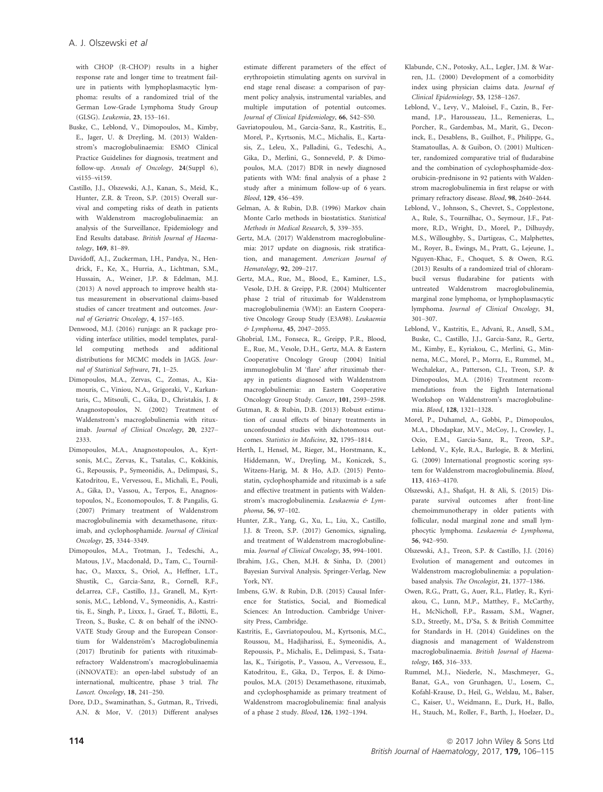with CHOP (R-CHOP) results in a higher response rate and longer time to treatment failure in patients with lymphoplasmacytic lymphoma: results of a randomized trial of the German Low-Grade Lymphoma Study Group (GLSG). Leukemia, 23, 153–161.

- Buske, C., Leblond, V., Dimopoulos, M., Kimby, E., Jager, U. & Dreyling, M. (2013) Waldenstrom's macroglobulinaemia: ESMO Clinical Practice Guidelines for diagnosis, treatment and follow-up. Annals of Oncology, 24(Suppl 6), vi155–vi159.
- Castillo, J.J., Olszewski, A.J., Kanan, S., Meid, K., Hunter, Z.R. & Treon, S.P. (2015) Overall survival and competing risks of death in patients with Waldenstrom macroglobulinaemia: an analysis of the Surveillance, Epidemiology and End Results database. British Journal of Haematology, 169, 81–89.
- Davidoff, A.J., Zuckerman, I.H., Pandya, N., Hendrick, F., Ke, X., Hurria, A., Lichtman, S.M., Hussain, A., Weiner, J.P. & Edelman, M.J. (2013) A novel approach to improve health status measurement in observational claims-based studies of cancer treatment and outcomes. Journal of Geriatric Oncology, 4, 157–165.
- Denwood, M.J. (2016) runjags: an R package providing interface utilities, model templates, parallel computing methods and additional distributions for MCMC models in JAGS. Journal of Statistical Software, 71, 1–25.
- Dimopoulos, M.A., Zervas, C., Zomas, A., Kiamouris, C., Viniou, N.A., Grigoraki, V., Karkantaris, C., Mitsouli, C., Gika, D., Christakis, J. & Anagnostopoulos, N. (2002) Treatment of Waldenstrom's macroglobulinemia with rituximab. Journal of Clinical Oncology, 20, 2327– 2333.
- Dimopoulos, M.A., Anagnostopoulos, A., Kyrtsonis, M.C., Zervas, K., Tsatalas, C., Kokkinis, G., Repoussis, P., Symeonidis, A., Delimpasi, S., Katodritou, E., Vervessou, E., Michali, E., Pouli, A., Gika, D., Vassou, A., Terpos, E., Anagnostopoulos, N., Economopoulos, T. & Pangalis, G. (2007) Primary treatment of Waldenstrom macroglobulinemia with dexamethasone, rituximab, and cyclophosphamide. Journal of Clinical Oncology, 25, 3344–3349.
- Dimopoulos, M.A., Trotman, J., Tedeschi, A., Matous, J.V., Macdonald, D., Tam, C., Tournilhac, O., Maxxx, S., Oriol, A., Heffner, L.T., Shustik, C., Garcia-Sanz, R., Cornell, R.F., deLarrea, C.F., Castillo, J.J., Granell, M., Kyrtsonis, M.C., Leblond, V., Symeonidis, A., Kastritis, E., Singh, P., Lixxx, J., Graef, T., Bilotti, E., Treon, S., Buske, C. & on behalf of the iNNO-VATE Study Group and the European Consortium for Waldenström's Macroglobulinemia (2017) Ibrutinib for patients with rituximabrefractory Waldenstrom's macroglobulinaemia (iNNOVATE): an open-label substudy of an international, multicentre, phase 3 trial. The Lancet. Oncology, 18, 241–250.
- Dore, D.D., Swaminathan, S., Gutman, R., Trivedi, A.N. & Mor, V. (2013) Different analyses

estimate different parameters of the effect of erythropoietin stimulating agents on survival in end stage renal disease: a comparison of payment policy analysis, instrumental variables, and multiple imputation of potential outcomes. Journal of Clinical Epidemiology, 66, S42–S50.

- Gavriatopoulou, M., Garcia-Sanz, R., Kastritis, E., Morel, P., Kyrtsonis, M.C., Michalis, E., Kartasis, Z., Leleu, X., Palladini, G., Tedeschi, A., Gika, D., Merlini, G., Sonneveld, P. & Dimopoulos, M.A. (2017) BDR in newly diagnosed patients with WM: final analysis of a phase 2 study after a minimum follow-up of 6 years. Blood, 129, 456–459.
- Gelman, A. & Rubin, D.B. (1996) Markov chain Monte Carlo methods in biostatistics. Statistical Methods in Medical Research, 5, 339–355.
- Gertz, M.A. (2017) Waldenstrom macroglobulinemia: 2017 update on diagnosis, risk stratification, and management. American Journal of Hematology, 92, 209–217.
- Gertz, M.A., Rue, M., Blood, E., Kaminer, L.S., Vesole, D.H. & Greipp, P.R. (2004) Multicenter phase 2 trial of rituximab for Waldenstrom macroglobulinemia (WM): an Eastern Cooperative Oncology Group Study (E3A98). Leukaemia & Lymphoma, 45, 2047–2055.
- Ghobrial, I.M., Fonseca, R., Greipp, P.R., Blood, E., Rue, M., Vesole, D.H., Gertz, M.A. & Eastern Cooperative Oncology Group (2004) Initial immunoglobulin M 'flare' after rituximab therapy in patients diagnosed with Waldenstrom macroglobulinemia: an Eastern Cooperative Oncology Group Study. Cancer, 101, 2593–2598.
- Gutman, R. & Rubin, D.B. (2013) Robust estimation of causal effects of binary treatments in unconfounded studies with dichotomous outcomes. Statistics in Medicine, 32, 1795–1814.
- Herth, I., Hensel, M., Rieger, M., Horstmann, K., Hiddemann, W., Dreyling, M., Koniczek, S., Witzens-Harig, M. & Ho, A.D. (2015) Pentostatin, cyclophosphamide and rituximab is a safe and effective treatment in patients with Waldenstrom's macroglobulinemia. Leukaemia & Lymphoma, 56, 97–102.
- Hunter, Z.R., Yang, G., Xu, L., Liu, X., Castillo, J.J. & Treon, S.P. (2017) Genomics, signaling, and treatment of Waldenstrom macroglobulinemia. Journal of Clinical Oncology, 35, 994–1001.
- Ibrahim, J.G., Chen, M.H. & Sinha, D. (2001) Bayesian Survival Analysis. Springer-Verlag, New York, NY.
- Imbens, G.W. & Rubin, D.B. (2015) Causal Inference for Statistics, Social, and Biomedical Sciences: An Introduction. Cambridge University Press, Cambridge.
- Kastritis, E., Gavriatopoulou, M., Kyrtsonis, M.C., Roussou, M., Hadjiharissi, E., Symeonidis, A., Repoussis, P., Michalis, E., Delimpasi, S., Tsatalas, K., Tsirigotis, P., Vassou, A., Vervessou, E., Katodritou, E., Gika, D., Terpos, E. & Dimopoulos, M.A. (2015) Dexamethasone, rituximab, and cyclophosphamide as primary treatment of Waldenstrom macroglobulinemia: final analysis of a phase 2 study. Blood, 126, 1392–1394.
- Klabunde, C.N., Potosky, A.L., Legler, J.M. & Warren, J.L. (2000) Development of a comorbidity index using physician claims data. Journal of Clinical Epidemiology, 53, 1258–1267.
- Leblond, V., Levy, V., Maloisel, F., Cazin, B., Fermand, J.P., Harousseau, J.L., Remenieras, L., Porcher, R., Gardembas, M., Marit, G., Deconinck, E., Desablens, B., Guilhot, F., Philippe, G., Stamatoullas, A. & Guibon, O. (2001) Multicenter, randomized comparative trial of fludarabine and the combination of cyclophosphamide-doxorubicin-prednisone in 92 patients with Waldenstrom macroglobulinemia in first relapse or with primary refractory disease. Blood, 98, 2640–2644.
- Leblond, V., Johnson, S., Chevret, S., Copplestone, A., Rule, S., Tournilhac, O., Seymour, J.F., Patmore, R.D., Wright, D., Morel, P., Dilhuydy, M.S., Willoughby, S., Dartigeas, C., Malphettes, M., Royer, B., Ewings, M., Pratt, G., Lejeune, J., Nguyen-Khac, F., Choquet, S. & Owen, R.G. (2013) Results of a randomized trial of chlorambucil versus fludarabine for patients with untreated Waldenstrom macroglobulinemia, marginal zone lymphoma, or lymphoplasmacytic lymphoma. Journal of Clinical Oncology, 31, 301–307.
- Leblond, V., Kastritis, E., Advani, R., Ansell, S.M., Buske, C., Castillo, J.J., Garcia-Sanz, R., Gertz, M., Kimby, E., Kyriakou, C., Merlini, G., Minnema, M.C., Morel, P., Morra, E., Rummel, M., Wechalekar, A., Patterson, C.J., Treon, S.P. & Dimopoulos, M.A. (2016) Treatment recommendations from the Eighth International Workshop on Waldenstrom's macroglobulinemia. Blood, 128, 1321–1328.
- Morel, P., Duhamel, A., Gobbi, P., Dimopoulos, M.A., Dhodapkar, M.V., McCoy, J., Crowley, J., Ocio, E.M., Garcia-Sanz, R., Treon, S.P., Leblond, V., Kyle, R.A., Barlogie, B. & Merlini, G. (2009) International prognostic scoring system for Waldenstrom macroglobulinemia. Blood, 113, 4163–4170.
- Olszewski, A.J., Shafqat, H. & Ali, S. (2015) Disparate survival outcomes after front-line chemoimmunotherapy in older patients with follicular, nodal marginal zone and small lymphocytic lymphoma. Leukaemia & Lymphoma, 56, 942–950.
- Olszewski, A.J., Treon, S.P. & Castillo, J.J. (2016) Evolution of management and outcomes in Waldenstrom macroglobulinemia: a populationbased analysis. The Oncologist, 21, 1377–1386.
- Owen, R.G., Pratt, G., Auer, R.L., Flatley, R., Kyriakou, C., Lunn, M.P., Matthey, F., McCarthy, H., McNicholl, F.P., Rassam, S.M., Wagner, S.D., Streetly, M., D'Sa, S. & British Committee for Standards in H. (2014) Guidelines on the diagnosis and management of Waldenstrom macroglobulinaemia. British Journal of Haematology, 165, 316–333.
- Rummel, M.J., Niederle, N., Maschmeyer, G., Banat, G.A., von Grunhagen, U., Losem, C., Kofahl-Krause, D., Heil, G., Welslau, M., Balser, C., Kaiser, U., Weidmann, E., Durk, H., Ballo, H., Stauch, M., Roller, F., Barth, J., Hoelzer, D.,